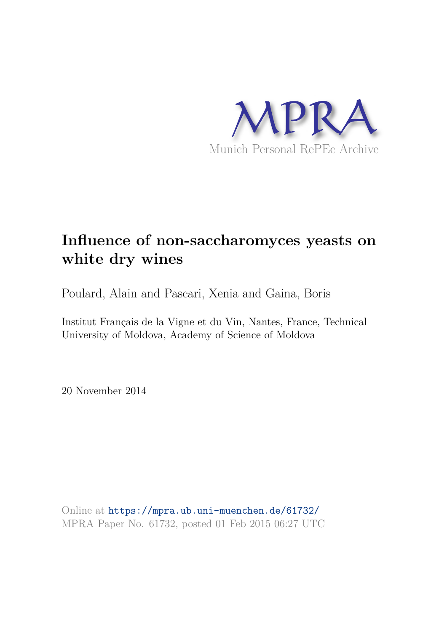

# **Influence of non-saccharomyces yeasts on white dry wines**

Poulard, Alain and Pascari, Xenia and Gaina, Boris

Institut Français de la Vigne et du Vin, Nantes, France, Technical University of Moldova, Academy of Science of Moldova

20 November 2014

Online at https://mpra.ub.uni-muenchen.de/61732/ MPRA Paper No. 61732, posted 01 Feb 2015 06:27 UTC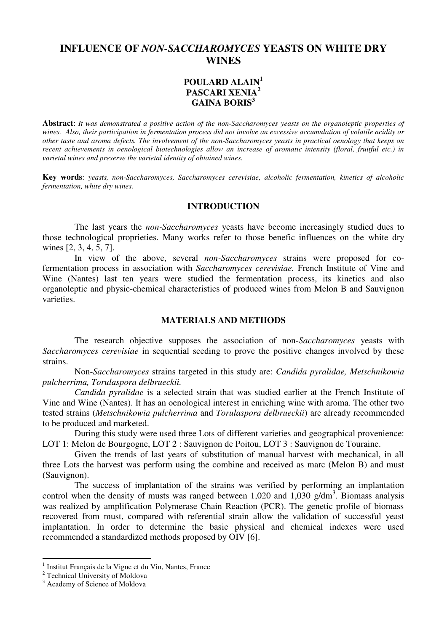# **INFLUENCE OF** *NON-SACCHAROMYCES* **YEASTS ON WHITE DRY WINES**

## **POULARD ALAIN<sup>1</sup> PASCARI XENIA<sup>2</sup> GAINA BORIS<sup>3</sup>**

**Abstract**: *It was demonstrated a positive action of the non-Saccharomyces yeasts on the organoleptic properties of wines. Also, their participation in fermentation process did not involve an excessive accumulation of volatile acidity or other taste and aroma defects. The involvement of the non-Saccharomyces yeasts in practical oenology that keeps on recent achievements in oenological biotechnologies allow an increase of aromatic intensity (floral, fruitful etc.) in varietal wines and preserve the varietal identity of obtained wines.* 

**Key words**: *yeasts, non-Saccharomyces, Saccharomyces cerevisiae, alcoholic fermentation, kinetics of alcoholic fermentation, white dry wines.* 

#### **INTRODUCTION**

The last years the *non-Saccharomyces* yeasts have become increasingly studied dues to those technological proprieties. Many works refer to those benefic influences on the white dry wines [2, 3, 4, 5, 7].

In view of the above, several *non-Saccharomyces* strains were proposed for cofermentation process in association with *Saccharomyces cerevisiae.* French Institute of Vine and Wine (Nantes) last ten years were studied the fermentation process, its kinetics and also organoleptic and physic-chemical characteristics of produced wines from Melon B and Sauvignon varieties.

#### **MATERIALS AND METHODS**

The research objective supposes the association of non-*Saccharomyces* yeasts with *Saccharomyces cerevisiae* in sequential seeding to prove the positive changes involved by these strains.

Non-*Saccharomyces* strains targeted in this study are: *Candida pyralidae, Metschnikowia pulcherrima, Torulaspora delbrueckii.* 

*Candida pyralidae* is a selected strain that was studied earlier at the French Institute of Vine and Wine (Nantes). It has an oenological interest in enriching wine with aroma. The other two tested strains (*Metschnikowia pulcherrima* and *Torulaspora delbrueckii*) are already recommended to be produced and marketed.

During this study were used three Lots of different varieties and geographical provenience: LOT 1: Melon de Bourgogne, LOT 2 : Sauvignon de Poitou, LOT 3 : Sauvignon de Touraine.

Given the trends of last years of substitution of manual harvest with mechanical, in all three Lots the harvest was perform using the combine and received as marc (Melon B) and must (Sauvignon).

The success of implantation of the strains was verified by performing an implantation control when the density of musts was ranged between  $1,020$  and  $1,030$  g/dm<sup>3</sup>. Biomass analysis was realized by amplification Polymerase Chain Reaction (PCR). The genetic profile of biomass recovered from must, compared with referential strain allow the validation of successful yeast implantation. In order to determine the basic physical and chemical indexes were used recommended a standardized methods proposed by OIV [6].

 $\overline{a}$ 

<sup>1</sup> Institut Français de la Vigne et du Vin, Nantes, France

<sup>&</sup>lt;sup>2</sup> Technical University of Moldova

<sup>&</sup>lt;sup>3</sup> Academy of Science of Moldova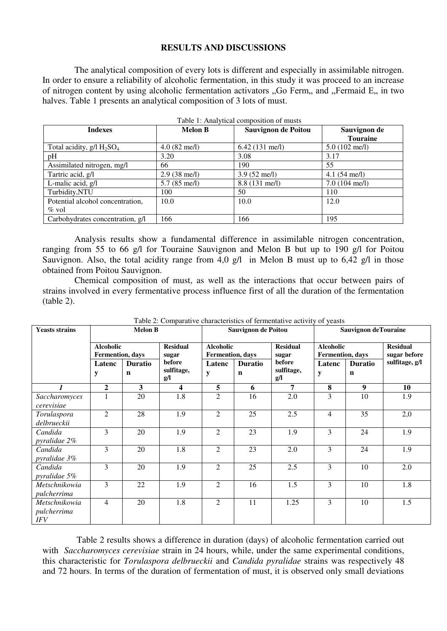### **RESULTS AND DISCUSSIONS**

The analytical composition of every lots is different and especially in assimilable nitrogen. In order to ensure a reliability of alcoholic fermentation, in this study it was proceed to an increase of nitrogen content by using alcoholic fermentation activators "Go Ferm,, and "Fermaid E,, in two halves. Table 1 presents an analytical composition of 3 lots of must.

| raoic 1, 7 mary dear composition of masts |                        |                            |                         |  |  |  |  |
|-------------------------------------------|------------------------|----------------------------|-------------------------|--|--|--|--|
| <b>Indexes</b>                            | <b>Melon B</b>         | <b>Sauvignon de Poitou</b> | Sauvignon de            |  |  |  |  |
|                                           |                        |                            | <b>Touraine</b>         |  |  |  |  |
| Total acidity, $g/l$ $H_2SO_4$            | $4.0 (82$ me/l)        | $6.42(131 \text{ me/l})$   | $5.0(102 \text{ me/l})$ |  |  |  |  |
| pH                                        | 3.20                   | 3.08                       | 3.17                    |  |  |  |  |
| Assimilated nitrogen, mg/l                | 66                     | 190                        | 55                      |  |  |  |  |
| Tartric acid, g/l                         | $2.9(38 \text{ me/l})$ | $3.9(52 \text{ me/l})$     | $4.1(54$ me/l)          |  |  |  |  |
| L-malic acid, g/l                         | $5.7(85$ me/l)         | 8.8 (131 me/l)             | $7.0(104 \text{ me/l})$ |  |  |  |  |
| Turbidity,NTU                             | 100                    | 50                         | 110                     |  |  |  |  |
| Potential alcohol concentration,          | 10.0                   | 10.0                       | 12.0                    |  |  |  |  |
| $\%$ vol                                  |                        |                            |                         |  |  |  |  |
| Carbohydrates concentration, g/l          | 166                    | 166                        | 195                     |  |  |  |  |

Table 1: Analytical composition of musts

Analysis results show a fundamental difference in assimilable nitrogen concentration, ranging from 55 to 66 g/l for Touraine Sauvignon and Melon B but up to 190 g/l for Poitou Sauvignon. Also, the total acidity range from 4,0  $g/l$  in Melon B must up to 6,42  $g/l$  in those obtained from Poitou Sauvignon.

Chemical composition of must, as well as the interactions that occur between pairs of strains involved in every fermentative process influence first of all the duration of the fermentation (table 2).

| <b>Yeasts strains</b>                 | <b>Melon B</b>                       |                               |                             | <b>Sauvignon de Poitou</b>                   |                               |                             | <b>Sauvignon deTouraine</b>          |                               |                                 |
|---------------------------------------|--------------------------------------|-------------------------------|-----------------------------|----------------------------------------------|-------------------------------|-----------------------------|--------------------------------------|-------------------------------|---------------------------------|
|                                       | <b>Alcoholic</b><br>Fermention, days |                               | <b>Residual</b><br>sugar    | <b>Alcoholic</b><br><b>Fermention</b> , days |                               | <b>Residual</b><br>sugar    | <b>Alcoholic</b><br>Fermention, days |                               | <b>Residual</b><br>sugar before |
|                                       | Latenc<br>y                          | <b>Duratio</b><br>$\mathbf n$ | before<br>sulfitage,<br>g/l | Latenc<br>y                                  | <b>Duratio</b><br>$\mathbf n$ | before<br>sulfitage,<br>g/l | Latenc<br>y                          | <b>Duratio</b><br>$\mathbf n$ | sulfitage, g/l                  |
| $\boldsymbol{l}$                      | $\overline{2}$                       | 3                             | $\overline{\mathbf{4}}$     | 5                                            | 6                             | $\overline{7}$              | 8                                    | 9                             | 10                              |
| Saccharomyces<br>cerevisiae           |                                      | 20                            | 1.8                         | $\overline{2}$                               | 16                            | 2.0                         | 3                                    | 10                            | 1.9                             |
| Torulaspora<br>delbrueckii            | $\overline{2}$                       | 28                            | 1.9                         | $\overline{2}$                               | 25                            | 2.5                         | $\overline{4}$                       | 35                            | 2,0                             |
| Candida<br>pyralidae 2%               | 3                                    | 20                            | 1.9                         | $\overline{2}$                               | 23                            | 1.9                         | 3                                    | 24                            | 1.9                             |
| Candida<br>pyralidae 3%               | 3                                    | 20                            | 1.8                         | $\overline{2}$                               | 23                            | 2.0                         | $\overline{3}$                       | 24                            | 1.9                             |
| Candida<br>pyralidae 5%               | 3                                    | 20                            | 1.9                         | $\overline{c}$                               | 25                            | 2.5                         | 3                                    | 10                            | 2.0                             |
| Metschnikowia<br>pulcherrima          | 3                                    | 22                            | 1.9                         | $\overline{2}$                               | 16                            | 1.5                         | $\overline{3}$                       | 10                            | 1.8                             |
| Metschnikowia<br>pulcherrima<br>$IFV$ | 4                                    | 20                            | 1.8                         | $\overline{2}$                               | 11                            | 1.25                        | 3                                    | 10                            | 1.5                             |

Table 2: Comparative characteristics of fermentative activity of yeasts

Table 2 results shows a difference in duration (days) of alcoholic fermentation carried out with *Saccharomyces cerevisiae* strain in 24 hours, while, under the same experimental conditions, this characteristic for *Torulaspora delbrueckii* and *Candida pyralidae* strains was respectively 48 and 72 hours. In terms of the duration of fermentation of must, it is observed only small deviations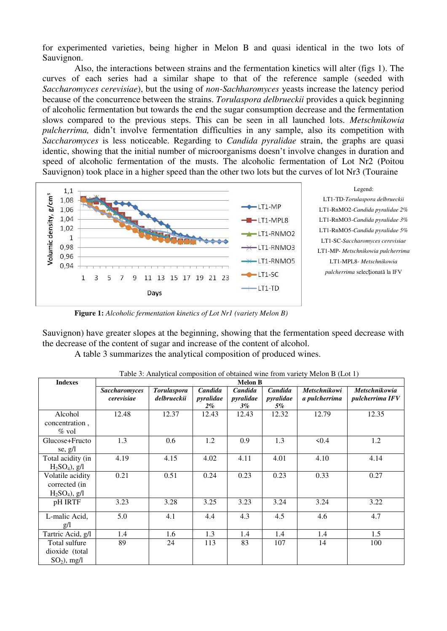for experimented varieties, being higher in Melon B and quasi identical in the two lots of Sauvignon.

Also, the interactions between strains and the fermentation kinetics will alter (figs 1). The curves of each series had a similar shape to that of the reference sample (seeded with *Saccharomyces cerevisiae*), but the using of *non-Sachharomyces* yeasts increase the latency period because of the concurrence between the strains. *Torulaspora delbrueckii* provides a quick beginning of alcoholic fermentation but towards the end the sugar consumption decrease and the fermentation slows compared to the previous steps. This can be seen in all launched lots. *Metschnikowia pulcherrima,* didn't involve fermentation difficulties in any sample, also its competition with *Saccharomyces* is less noticeable. Regarding to *Candida pyralidae* strain, the graphs are quasi identic, showing that the initial number of microorganisms doesn't involve changes in duration and speed of alcoholic fermentation of the musts. The alcoholic fermentation of Lot Nr2 (Poitou Sauvignon) took place in a higher speed than the other two lots but the curves of lot Nr3 (Touraine



Legend: LT1-TD-*Torulaspora delbrueckii*  LT1-RnMO2-*Candida pyralidae 2%*  LT1-RnMO3-*Candida pyralidae 3%*  LT1-RnMO5-*Candida pyralidae 5%*  LT1-SC-*Saccharomyces cerevisiae*  LT1-MP- *Metschnikowia pulcherrima*  LT1-MPL8- *Metschnikowia pulcherrima* selecționată la IFV

**Figure 1:** *Alcoholic fermentation kinetics of Lot Nr1 (variety Melon B)* 

Sauvignon) have greater slopes at the beginning, showing that the fermentation speed decrease with the decrease of the content of sugar and increase of the content of alcohol.

A table 3 summarizes the analytical composition of produced wines.

| <b>Indexes</b>                                        | <b>Melon B</b>                     |                                   |                               |                               |                            |                                      |                                         |
|-------------------------------------------------------|------------------------------------|-----------------------------------|-------------------------------|-------------------------------|----------------------------|--------------------------------------|-----------------------------------------|
|                                                       | <b>Saccharomyces</b><br>cerevisiae | <b>Torulaspora</b><br>delbrueckii | Candida<br>pyralidae<br>$2\%$ | Candida<br>pyralidae<br>$3\%$ | Candida<br>pyralidae<br>5% | <b>Metschnikowi</b><br>a pulcherrima | <b>Metschnikowia</b><br>pulcherrima IFV |
| Alcohol<br>concentration,<br>$\%$ vol                 | 12.48                              | 12.37                             | 12.43                         | 12.43                         | 12.32                      | 12.79                                | 12.35                                   |
| Glucose+Fructo<br>se, $g/l$                           | 1.3                                | 0.6                               | 1.2                           | 0.9                           | 1.3                        | 50.4                                 | 1.2                                     |
| Total acidity (in<br>$H_2SO_4$ ), g/l                 | 4.19                               | 4.15                              | 4.02                          | 4.11                          | 4.01                       | 4.10                                 | 4.14                                    |
| Volatile acidity<br>corrected (in<br>$H_2SO_4$ ), g/l | 0.21                               | 0.51                              | 0.24                          | 0.23                          | 0.23                       | 0.33                                 | 0.27                                    |
| pH IRTF                                               | 3.23                               | 3.28                              | 3.25                          | 3.23                          | 3.24                       | 3.24                                 | 3.22                                    |
| L-malic Acid,<br>g/l                                  | 5.0                                | 4.1                               | 4.4                           | 4.3                           | 4.5                        | 4.6                                  | 4.7                                     |
| Tartric Acid, g/l                                     | 1.4                                | 1.6                               | 1.3                           | 1.4                           | 1.4                        | 1.4                                  | 1.5                                     |
| Total sulfure<br>dioxide (total<br>$SO_2$ ), mg/l     | 89                                 | 24                                | 113                           | 83                            | 107                        | 14                                   | 100                                     |

Table 3: Analytical composition of obtained wine from variety Melon B (Lot 1)